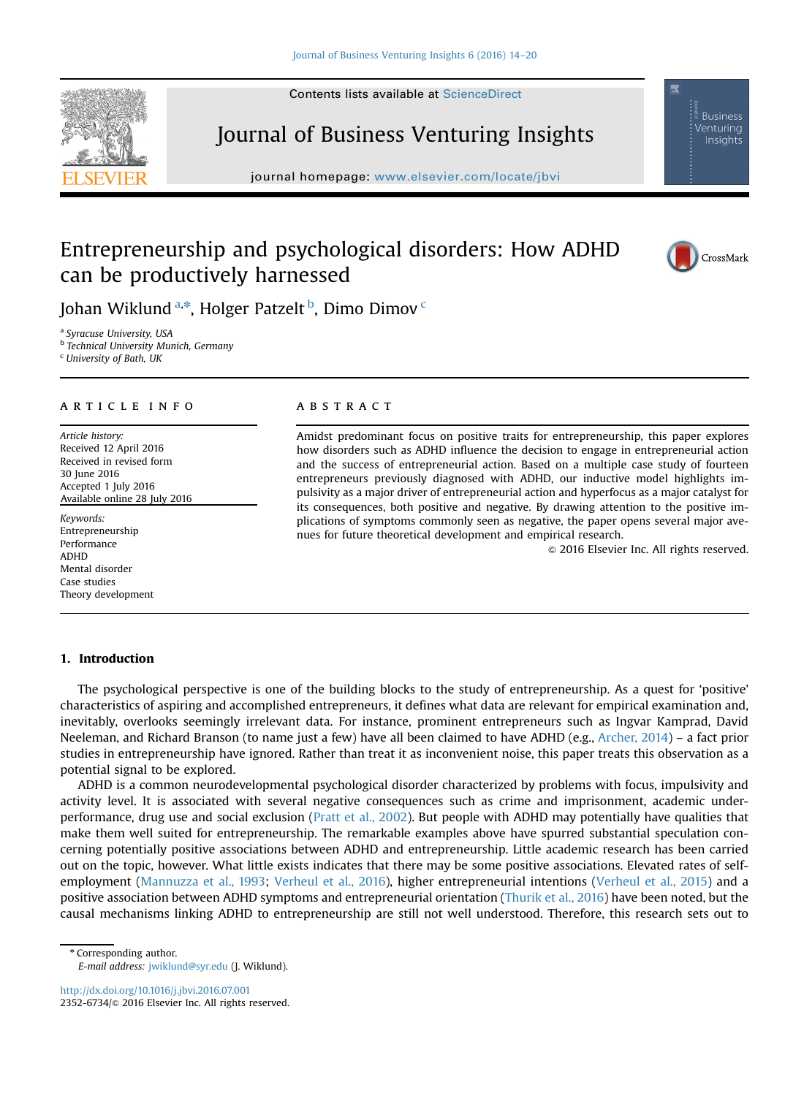

# Journal of Business Venturing Insights

journal homepage: <www.elsevier.com/locate/jbvi>



# Entrepreneurship and psychological disorders: How ADHD can be productively harnessed



Johan Wiklund <sup>a,\*</sup>, Holger Patzelt <sup>b</sup>, Dimo Dimov <sup>c</sup>

<sup>a</sup> Syracuse University, USA

**b** Technical University Munich, Germany

<sup>c</sup> University of Bath, UK

# article info

Article history: Received 12 April 2016 Received in revised form 30 June 2016 Accepted 1 July 2016 Available online 28 July 2016

Keywords: Entrepreneurship Performance ADHD Mental disorder Case studies Theory development

#### 1. Introduction

# **ABSTRACT**

Amidst predominant focus on positive traits for entrepreneurship, this paper explores how disorders such as ADHD influence the decision to engage in entrepreneurial action and the success of entrepreneurial action. Based on a multiple case study of fourteen entrepreneurs previously diagnosed with ADHD, our inductive model highlights impulsivity as a major driver of entrepreneurial action and hyperfocus as a major catalyst for its consequences, both positive and negative. By drawing attention to the positive implications of symptoms commonly seen as negative, the paper opens several major avenues for future theoretical development and empirical research.

 $\odot$  2016 Elsevier Inc. All rights reserved.

The psychological perspective is one of the building blocks to the study of entrepreneurship. As a quest for 'positive' characteristics of aspiring and accomplished entrepreneurs, it defines what data are relevant for empirical examination and, inevitably, overlooks seemingly irrelevant data. For instance, prominent entrepreneurs such as Ingvar Kamprad, David Neeleman, and Richard Branson (to name just a few) have all been claimed to have ADHD (e.g., [Archer, 2014\)](#page-6-0) – a fact prior studies in entrepreneurship have ignored. Rather than treat it as inconvenient noise, this paper treats this observation as a potential signal to be explored.

ADHD is a common neurodevelopmental psychological disorder characterized by problems with focus, impulsivity and activity level. It is associated with several negative consequences such as crime and imprisonment, academic underperformance, drug use and social exclusion [\(Pratt et al., 2002\)](#page-6-0). But people with ADHD may potentially have qualities that make them well suited for entrepreneurship. The remarkable examples above have spurred substantial speculation concerning potentially positive associations between ADHD and entrepreneurship. Little academic research has been carried out on the topic, however. What little exists indicates that there may be some positive associations. Elevated rates of selfemployment [\(Mannuzza et al., 1993;](#page-6-0) [Verheul et al., 2016](#page-6-0)), higher entrepreneurial intentions ([Verheul et al., 2015](#page-6-0)) and a positive association between ADHD symptoms and entrepreneurial orientation [\(Thurik et al., 2016](#page-6-0)) have been noted, but the causal mechanisms linking ADHD to entrepreneurship are still not well understood. Therefore, this research sets out to

\* Corresponding author.

E-mail address: [jwiklund@syr.edu](mailto:jwiklund@syr.edu) (J. Wiklund).

<http://dx.doi.org/10.1016/j.jbvi.2016.07.001> 2352-6734/& 2016 Elsevier Inc. All rights reserved.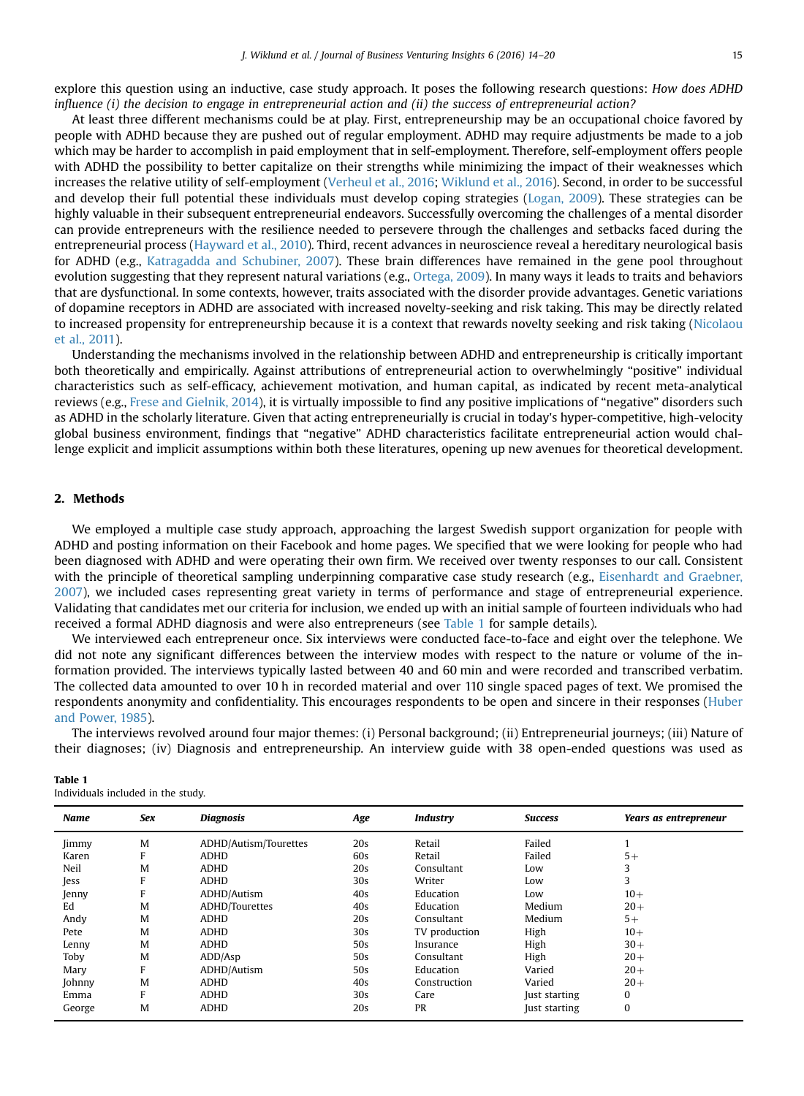explore this question using an inductive, case study approach. It poses the following research questions: How does ADHD influence (i) the decision to engage in entrepreneurial action and (ii) the success of entrepreneurial action?

At least three different mechanisms could be at play. First, entrepreneurship may be an occupational choice favored by people with ADHD because they are pushed out of regular employment. ADHD may require adjustments be made to a job which may be harder to accomplish in paid employment that in self-employment. Therefore, self-employment offers people with ADHD the possibility to better capitalize on their strengths while minimizing the impact of their weaknesses which increases the relative utility of self-employment [\(Verheul et al., 2016](#page-6-0); [Wiklund et al., 2016](#page-6-0)). Second, in order to be successful and develop their full potential these individuals must develop coping strategies ([Logan, 2009\)](#page-6-0). These strategies can be highly valuable in their subsequent entrepreneurial endeavors. Successfully overcoming the challenges of a mental disorder can provide entrepreneurs with the resilience needed to persevere through the challenges and setbacks faced during the entrepreneurial process [\(Hayward et al., 2010\)](#page-6-0). Third, recent advances in neuroscience reveal a hereditary neurological basis for ADHD (e.g., [Katragadda and Schubiner, 2007](#page-6-0)). These brain differences have remained in the gene pool throughout evolution suggesting that they represent natural variations (e.g., [Ortega, 2009](#page-6-0)). In many ways it leads to traits and behaviors that are dysfunctional. In some contexts, however, traits associated with the disorder provide advantages. Genetic variations of dopamine receptors in ADHD are associated with increased novelty-seeking and risk taking. This may be directly related to increased propensity for entrepreneurship because it is a context that rewards novelty seeking and risk taking ([Nicolaou](#page-6-0) [et al., 2011](#page-6-0)).

Understanding the mechanisms involved in the relationship between ADHD and entrepreneurship is critically important both theoretically and empirically. Against attributions of entrepreneurial action to overwhelmingly "positive" individual characteristics such as self-efficacy, achievement motivation, and human capital, as indicated by recent meta-analytical reviews (e.g., [Frese and Gielnik, 2014](#page-6-0)), it is virtually impossible to find any positive implications of "negative" disorders such as ADHD in the scholarly literature. Given that acting entrepreneurially is crucial in today's hyper-competitive, high-velocity global business environment, findings that "negative" ADHD characteristics facilitate entrepreneurial action would challenge explicit and implicit assumptions within both these literatures, opening up new avenues for theoretical development.

# 2. Methods

We employed a multiple case study approach, approaching the largest Swedish support organization for people with ADHD and posting information on their Facebook and home pages. We specified that we were looking for people who had been diagnosed with ADHD and were operating their own firm. We received over twenty responses to our call. Consistent with the principle of theoretical sampling underpinning comparative case study research (e.g., [Eisenhardt and Graebner,](#page-6-0) [2007](#page-6-0)), we included cases representing great variety in terms of performance and stage of entrepreneurial experience. Validating that candidates met our criteria for inclusion, we ended up with an initial sample of fourteen individuals who had received a formal ADHD diagnosis and were also entrepreneurs (see Table 1 for sample details).

We interviewed each entrepreneur once. Six interviews were conducted face-to-face and eight over the telephone. We did not note any significant differences between the interview modes with respect to the nature or volume of the information provided. The interviews typically lasted between 40 and 60 min and were recorded and transcribed verbatim. The collected data amounted to over 10 h in recorded material and over 110 single spaced pages of text. We promised the respondents anonymity and confidentiality. This encourages respondents to be open and sincere in their responses ([Huber](#page-6-0) [and Power, 1985\)](#page-6-0).

The interviews revolved around four major themes: (i) Personal background; (ii) Entrepreneurial journeys; (iii) Nature of their diagnoses; (iv) Diagnosis and entrepreneurship. An interview guide with 38 open-ended questions was used as

| <b>Name</b>  | Sex | <b>Diagnosis</b>      | Age | <b>Industry</b> | <b>Success</b> | Years as entrepreneur |
|--------------|-----|-----------------------|-----|-----------------|----------------|-----------------------|
| <b>limmy</b> | M   | ADHD/Autism/Tourettes | 20s | Retail          | Failed         |                       |
| Karen        | F   | ADHD                  | 60s | Retail          | Failed         | $5+$                  |
| Neil         | M   | <b>ADHD</b>           | 20s | Consultant      | Low            | 3                     |
| Jess         | F   | <b>ADHD</b>           | 30s | Writer          | Low            | 3                     |
| Jenny        | F   | ADHD/Autism           | 40s | Education       | Low            | $10+$                 |
| Ed           | M   | ADHD/Tourettes        | 40s | Education       | Medium         | $20+$                 |
| Andy         | M   | <b>ADHD</b>           | 20s | Consultant      | Medium         | $5+$                  |
| Pete         | M   | <b>ADHD</b>           | 30s | TV production   | High           | $10+$                 |
| Lenny        | M   | <b>ADHD</b>           | 50s | Insurance       | High           | $30+$                 |
| Toby         | M   | ADD/Asp               | 50s | Consultant      | High           | $20+$                 |
| Mary         | F   | ADHD/Autism           | 50s | Education       | Varied         | $20+$                 |
| Johnny       | M   | <b>ADHD</b>           | 40s | Construction    | Varied         | $20+$                 |
| Emma         | F   | <b>ADHD</b>           | 30s | Care            | Just starting  | 0                     |
| George       | M   | <b>ADHD</b>           | 20s | <b>PR</b>       | Just starting  | 0                     |

| Individuals included in the study. |  |  |  |  |  |
|------------------------------------|--|--|--|--|--|
|------------------------------------|--|--|--|--|--|

Table 1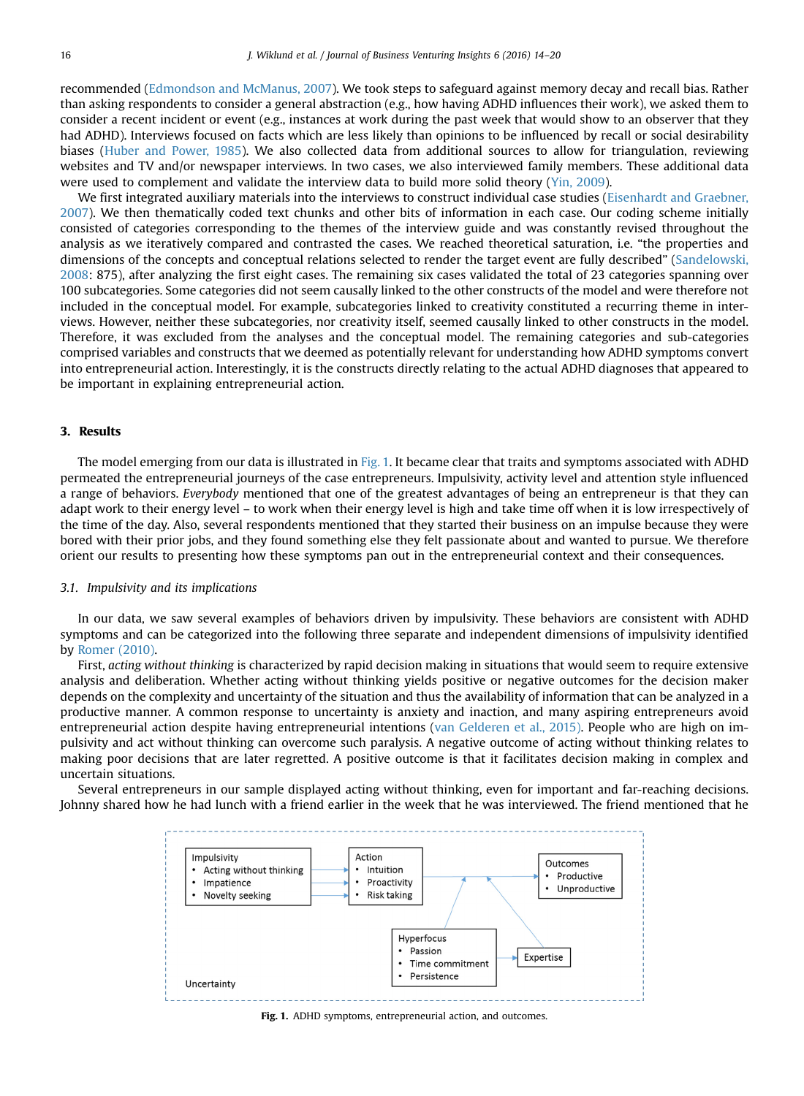<span id="page-2-0"></span>recommended ([Edmondson and McManus, 2007\)](#page-6-0). We took steps to safeguard against memory decay and recall bias. Rather than asking respondents to consider a general abstraction (e.g., how having ADHD influences their work), we asked them to consider a recent incident or event (e.g., instances at work during the past week that would show to an observer that they had ADHD). Interviews focused on facts which are less likely than opinions to be influenced by recall or social desirability biases ([Huber and Power, 1985\)](#page-6-0). We also collected data from additional sources to allow for triangulation, reviewing websites and TV and/or newspaper interviews. In two cases, we also interviewed family members. These additional data were used to complement and validate the interview data to build more solid theory [\(Yin, 2009\)](#page-6-0).

We first integrated auxiliary materials into the interviews to construct individual case studies [\(Eisenhardt and Graebner,](#page-6-0) [2007\)](#page-6-0). We then thematically coded text chunks and other bits of information in each case. Our coding scheme initially consisted of categories corresponding to the themes of the interview guide and was constantly revised throughout the analysis as we iteratively compared and contrasted the cases. We reached theoretical saturation, i.e. "the properties and dimensions of the concepts and conceptual relations selected to render the target event are fully described" ([Sandelowski,](#page-6-0) [2008](#page-6-0): 875), after analyzing the first eight cases. The remaining six cases validated the total of 23 categories spanning over 100 subcategories. Some categories did not seem causally linked to the other constructs of the model and were therefore not included in the conceptual model. For example, subcategories linked to creativity constituted a recurring theme in interviews. However, neither these subcategories, nor creativity itself, seemed causally linked to other constructs in the model. Therefore, it was excluded from the analyses and the conceptual model. The remaining categories and sub-categories comprised variables and constructs that we deemed as potentially relevant for understanding how ADHD symptoms convert into entrepreneurial action. Interestingly, it is the constructs directly relating to the actual ADHD diagnoses that appeared to be important in explaining entrepreneurial action.

# 3. Results

The model emerging from our data is illustrated in Fig. 1. It became clear that traits and symptoms associated with ADHD permeated the entrepreneurial journeys of the case entrepreneurs. Impulsivity, activity level and attention style influenced a range of behaviors. Everybody mentioned that one of the greatest advantages of being an entrepreneur is that they can adapt work to their energy level – to work when their energy level is high and take time off when it is low irrespectively of the time of the day. Also, several respondents mentioned that they started their business on an impulse because they were bored with their prior jobs, and they found something else they felt passionate about and wanted to pursue. We therefore orient our results to presenting how these symptoms pan out in the entrepreneurial context and their consequences.

#### 3.1. Impulsivity and its implications

In our data, we saw several examples of behaviors driven by impulsivity. These behaviors are consistent with ADHD symptoms and can be categorized into the following three separate and independent dimensions of impulsivity identified by [Romer \(2010\).](#page-6-0)

First, acting without thinking is characterized by rapid decision making in situations that would seem to require extensive analysis and deliberation. Whether acting without thinking yields positive or negative outcomes for the decision maker depends on the complexity and uncertainty of the situation and thus the availability of information that can be analyzed in a productive manner. A common response to uncertainty is anxiety and inaction, and many aspiring entrepreneurs avoid entrepreneurial action despite having entrepreneurial intentions [\(van Gelderen et al., 2015\)](#page-6-0). People who are high on impulsivity and act without thinking can overcome such paralysis. A negative outcome of acting without thinking relates to making poor decisions that are later regretted. A positive outcome is that it facilitates decision making in complex and uncertain situations.

Several entrepreneurs in our sample displayed acting without thinking, even for important and far-reaching decisions. Johnny shared how he had lunch with a friend earlier in the week that he was interviewed. The friend mentioned that he



Fig. 1. ADHD symptoms, entrepreneurial action, and outcomes.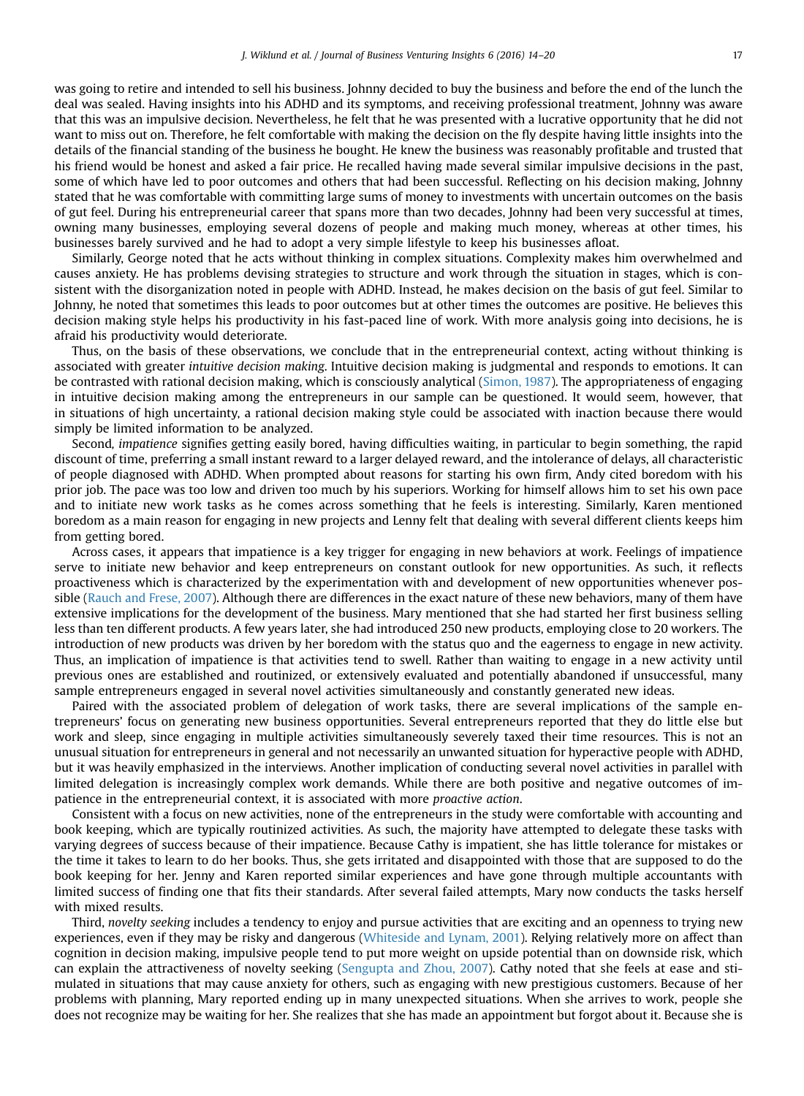was going to retire and intended to sell his business. Johnny decided to buy the business and before the end of the lunch the deal was sealed. Having insights into his ADHD and its symptoms, and receiving professional treatment, Johnny was aware that this was an impulsive decision. Nevertheless, he felt that he was presented with a lucrative opportunity that he did not want to miss out on. Therefore, he felt comfortable with making the decision on the fly despite having little insights into the details of the financial standing of the business he bought. He knew the business was reasonably profitable and trusted that his friend would be honest and asked a fair price. He recalled having made several similar impulsive decisions in the past, some of which have led to poor outcomes and others that had been successful. Reflecting on his decision making, Johnny stated that he was comfortable with committing large sums of money to investments with uncertain outcomes on the basis of gut feel. During his entrepreneurial career that spans more than two decades, Johnny had been very successful at times, owning many businesses, employing several dozens of people and making much money, whereas at other times, his businesses barely survived and he had to adopt a very simple lifestyle to keep his businesses afloat.

Similarly, George noted that he acts without thinking in complex situations. Complexity makes him overwhelmed and causes anxiety. He has problems devising strategies to structure and work through the situation in stages, which is consistent with the disorganization noted in people with ADHD. Instead, he makes decision on the basis of gut feel. Similar to Johnny, he noted that sometimes this leads to poor outcomes but at other times the outcomes are positive. He believes this decision making style helps his productivity in his fast-paced line of work. With more analysis going into decisions, he is afraid his productivity would deteriorate.

Thus, on the basis of these observations, we conclude that in the entrepreneurial context, acting without thinking is associated with greater intuitive decision making. Intuitive decision making is judgmental and responds to emotions. It can be contrasted with rational decision making, which is consciously analytical [\(Simon, 1987](#page-6-0)). The appropriateness of engaging in intuitive decision making among the entrepreneurs in our sample can be questioned. It would seem, however, that in situations of high uncertainty, a rational decision making style could be associated with inaction because there would simply be limited information to be analyzed.

Second, impatience signifies getting easily bored, having difficulties waiting, in particular to begin something, the rapid discount of time, preferring a small instant reward to a larger delayed reward, and the intolerance of delays, all characteristic of people diagnosed with ADHD. When prompted about reasons for starting his own firm, Andy cited boredom with his prior job. The pace was too low and driven too much by his superiors. Working for himself allows him to set his own pace and to initiate new work tasks as he comes across something that he feels is interesting. Similarly, Karen mentioned boredom as a main reason for engaging in new projects and Lenny felt that dealing with several different clients keeps him from getting bored.

Across cases, it appears that impatience is a key trigger for engaging in new behaviors at work. Feelings of impatience serve to initiate new behavior and keep entrepreneurs on constant outlook for new opportunities. As such, it reflects proactiveness which is characterized by the experimentation with and development of new opportunities whenever possible [\(Rauch and Frese, 2007\)](#page-6-0). Although there are differences in the exact nature of these new behaviors, many of them have extensive implications for the development of the business. Mary mentioned that she had started her first business selling less than ten different products. A few years later, she had introduced 250 new products, employing close to 20 workers. The introduction of new products was driven by her boredom with the status quo and the eagerness to engage in new activity. Thus, an implication of impatience is that activities tend to swell. Rather than waiting to engage in a new activity until previous ones are established and routinized, or extensively evaluated and potentially abandoned if unsuccessful, many sample entrepreneurs engaged in several novel activities simultaneously and constantly generated new ideas.

Paired with the associated problem of delegation of work tasks, there are several implications of the sample entrepreneurs' focus on generating new business opportunities. Several entrepreneurs reported that they do little else but work and sleep, since engaging in multiple activities simultaneously severely taxed their time resources. This is not an unusual situation for entrepreneurs in general and not necessarily an unwanted situation for hyperactive people with ADHD, but it was heavily emphasized in the interviews. Another implication of conducting several novel activities in parallel with limited delegation is increasingly complex work demands. While there are both positive and negative outcomes of impatience in the entrepreneurial context, it is associated with more proactive action.

Consistent with a focus on new activities, none of the entrepreneurs in the study were comfortable with accounting and book keeping, which are typically routinized activities. As such, the majority have attempted to delegate these tasks with varying degrees of success because of their impatience. Because Cathy is impatient, she has little tolerance for mistakes or the time it takes to learn to do her books. Thus, she gets irritated and disappointed with those that are supposed to do the book keeping for her. Jenny and Karen reported similar experiences and have gone through multiple accountants with limited success of finding one that fits their standards. After several failed attempts, Mary now conducts the tasks herself with mixed results.

Third, novelty seeking includes a tendency to enjoy and pursue activities that are exciting and an openness to trying new experiences, even if they may be risky and dangerous [\(Whiteside and Lynam, 2001](#page-6-0)). Relying relatively more on affect than cognition in decision making, impulsive people tend to put more weight on upside potential than on downside risk, which can explain the attractiveness of novelty seeking ([Sengupta and Zhou, 2007\)](#page-6-0). Cathy noted that she feels at ease and stimulated in situations that may cause anxiety for others, such as engaging with new prestigious customers. Because of her problems with planning, Mary reported ending up in many unexpected situations. When she arrives to work, people she does not recognize may be waiting for her. She realizes that she has made an appointment but forgot about it. Because she is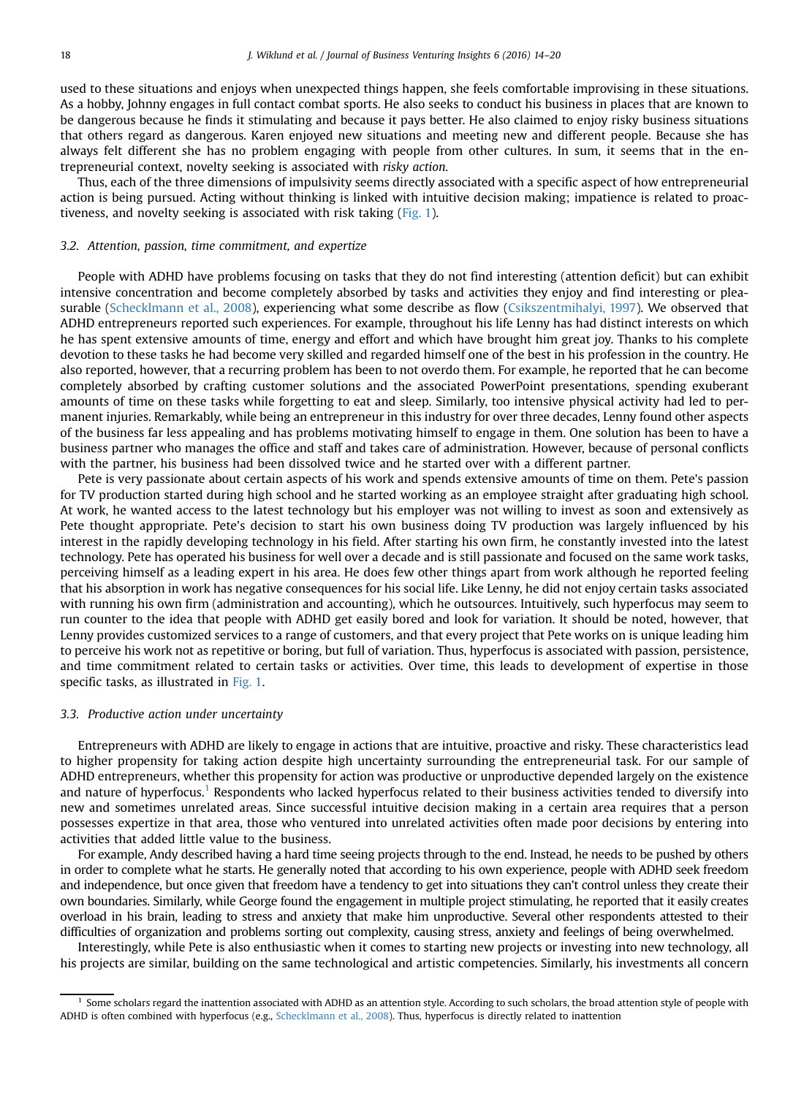used to these situations and enjoys when unexpected things happen, she feels comfortable improvising in these situations. As a hobby, Johnny engages in full contact combat sports. He also seeks to conduct his business in places that are known to be dangerous because he finds it stimulating and because it pays better. He also claimed to enjoy risky business situations that others regard as dangerous. Karen enjoyed new situations and meeting new and different people. Because she has always felt different she has no problem engaging with people from other cultures. In sum, it seems that in the entrepreneurial context, novelty seeking is associated with risky action.

Thus, each of the three dimensions of impulsivity seems directly associated with a specific aspect of how entrepreneurial action is being pursued. Acting without thinking is linked with intuitive decision making; impatience is related to proactiveness, and novelty seeking is associated with risk taking [\(Fig. 1](#page-2-0)).

#### 3.2. Attention, passion, time commitment, and expertize

People with ADHD have problems focusing on tasks that they do not find interesting (attention deficit) but can exhibit intensive concentration and become completely absorbed by tasks and activities they enjoy and find interesting or pleasurable [\(Schecklmann et al., 2008\)](#page-6-0), experiencing what some describe as flow [\(Csikszentmihalyi, 1997\)](#page-6-0). We observed that ADHD entrepreneurs reported such experiences. For example, throughout his life Lenny has had distinct interests on which he has spent extensive amounts of time, energy and effort and which have brought him great joy. Thanks to his complete devotion to these tasks he had become very skilled and regarded himself one of the best in his profession in the country. He also reported, however, that a recurring problem has been to not overdo them. For example, he reported that he can become completely absorbed by crafting customer solutions and the associated PowerPoint presentations, spending exuberant amounts of time on these tasks while forgetting to eat and sleep. Similarly, too intensive physical activity had led to permanent injuries. Remarkably, while being an entrepreneur in this industry for over three decades, Lenny found other aspects of the business far less appealing and has problems motivating himself to engage in them. One solution has been to have a business partner who manages the office and staff and takes care of administration. However, because of personal conflicts with the partner, his business had been dissolved twice and he started over with a different partner.

Pete is very passionate about certain aspects of his work and spends extensive amounts of time on them. Pete's passion for TV production started during high school and he started working as an employee straight after graduating high school. At work, he wanted access to the latest technology but his employer was not willing to invest as soon and extensively as Pete thought appropriate. Pete's decision to start his own business doing TV production was largely influenced by his interest in the rapidly developing technology in his field. After starting his own firm, he constantly invested into the latest technology. Pete has operated his business for well over a decade and is still passionate and focused on the same work tasks, perceiving himself as a leading expert in his area. He does few other things apart from work although he reported feeling that his absorption in work has negative consequences for his social life. Like Lenny, he did not enjoy certain tasks associated with running his own firm (administration and accounting), which he outsources. Intuitively, such hyperfocus may seem to run counter to the idea that people with ADHD get easily bored and look for variation. It should be noted, however, that Lenny provides customized services to a range of customers, and that every project that Pete works on is unique leading him to perceive his work not as repetitive or boring, but full of variation. Thus, hyperfocus is associated with passion, persistence, and time commitment related to certain tasks or activities. Over time, this leads to development of expertise in those specific tasks, as illustrated in [Fig. 1.](#page-2-0)

#### 3.3. Productive action under uncertainty

Entrepreneurs with ADHD are likely to engage in actions that are intuitive, proactive and risky. These characteristics lead to higher propensity for taking action despite high uncertainty surrounding the entrepreneurial task. For our sample of ADHD entrepreneurs, whether this propensity for action was productive or unproductive depended largely on the existence and nature of hyperfocus.<sup>1</sup> Respondents who lacked hyperfocus related to their business activities tended to diversify into new and sometimes unrelated areas. Since successful intuitive decision making in a certain area requires that a person possesses expertize in that area, those who ventured into unrelated activities often made poor decisions by entering into activities that added little value to the business.

For example, Andy described having a hard time seeing projects through to the end. Instead, he needs to be pushed by others in order to complete what he starts. He generally noted that according to his own experience, people with ADHD seek freedom and independence, but once given that freedom have a tendency to get into situations they can't control unless they create their own boundaries. Similarly, while George found the engagement in multiple project stimulating, he reported that it easily creates overload in his brain, leading to stress and anxiety that make him unproductive. Several other respondents attested to their difficulties of organization and problems sorting out complexity, causing stress, anxiety and feelings of being overwhelmed.

Interestingly, while Pete is also enthusiastic when it comes to starting new projects or investing into new technology, all his projects are similar, building on the same technological and artistic competencies. Similarly, his investments all concern

 $<sup>1</sup>$  Some scholars regard the inattention associated with ADHD as an attention style. According to such scholars, the broad attention style of people with</sup> ADHD is often combined with hyperfocus (e.g., [Schecklmann et al., 2008](#page-6-0)). Thus, hyperfocus is directly related to inattention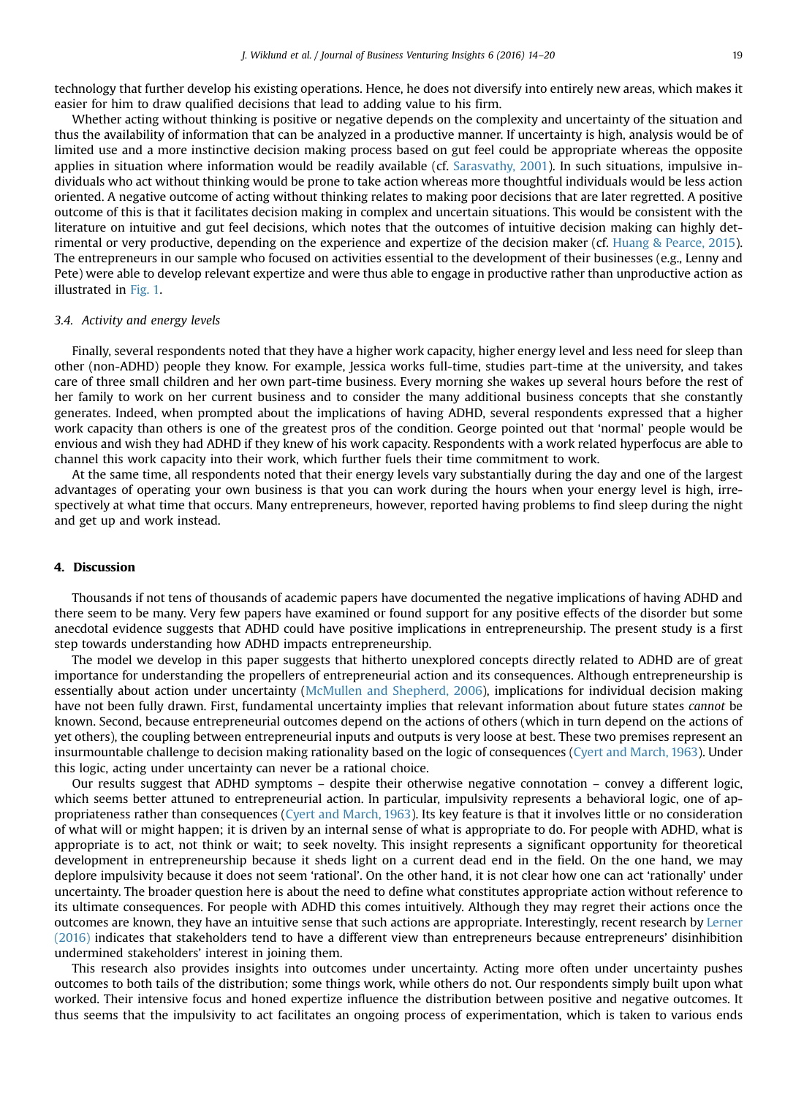technology that further develop his existing operations. Hence, he does not diversify into entirely new areas, which makes it easier for him to draw qualified decisions that lead to adding value to his firm.

Whether acting without thinking is positive or negative depends on the complexity and uncertainty of the situation and thus the availability of information that can be analyzed in a productive manner. If uncertainty is high, analysis would be of limited use and a more instinctive decision making process based on gut feel could be appropriate whereas the opposite applies in situation where information would be readily available (cf. [Sarasvathy, 2001](#page-6-0)). In such situations, impulsive individuals who act without thinking would be prone to take action whereas more thoughtful individuals would be less action oriented. A negative outcome of acting without thinking relates to making poor decisions that are later regretted. A positive outcome of this is that it facilitates decision making in complex and uncertain situations. This would be consistent with the literature on intuitive and gut feel decisions, which notes that the outcomes of intuitive decision making can highly detrimental or very productive, depending on the experience and expertize of the decision maker (cf. [Huang](#page-6-0) [& Pearce, 2015](#page-6-0)). The entrepreneurs in our sample who focused on activities essential to the development of their businesses (e.g., Lenny and Pete) were able to develop relevant expertize and were thus able to engage in productive rather than unproductive action as illustrated in [Fig. 1](#page-2-0).

#### 3.4. Activity and energy levels

Finally, several respondents noted that they have a higher work capacity, higher energy level and less need for sleep than other (non-ADHD) people they know. For example, Jessica works full-time, studies part-time at the university, and takes care of three small children and her own part-time business. Every morning she wakes up several hours before the rest of her family to work on her current business and to consider the many additional business concepts that she constantly generates. Indeed, when prompted about the implications of having ADHD, several respondents expressed that a higher work capacity than others is one of the greatest pros of the condition. George pointed out that 'normal' people would be envious and wish they had ADHD if they knew of his work capacity. Respondents with a work related hyperfocus are able to channel this work capacity into their work, which further fuels their time commitment to work.

At the same time, all respondents noted that their energy levels vary substantially during the day and one of the largest advantages of operating your own business is that you can work during the hours when your energy level is high, irrespectively at what time that occurs. Many entrepreneurs, however, reported having problems to find sleep during the night and get up and work instead.

### 4. Discussion

Thousands if not tens of thousands of academic papers have documented the negative implications of having ADHD and there seem to be many. Very few papers have examined or found support for any positive effects of the disorder but some anecdotal evidence suggests that ADHD could have positive implications in entrepreneurship. The present study is a first step towards understanding how ADHD impacts entrepreneurship.

The model we develop in this paper suggests that hitherto unexplored concepts directly related to ADHD are of great importance for understanding the propellers of entrepreneurial action and its consequences. Although entrepreneurship is essentially about action under uncertainty ([McMullen and Shepherd, 2006\)](#page-6-0), implications for individual decision making have not been fully drawn. First, fundamental uncertainty implies that relevant information about future states cannot be known. Second, because entrepreneurial outcomes depend on the actions of others (which in turn depend on the actions of yet others), the coupling between entrepreneurial inputs and outputs is very loose at best. These two premises represent an insurmountable challenge to decision making rationality based on the logic of consequences ([Cyert and March, 1963\)](#page-6-0). Under this logic, acting under uncertainty can never be a rational choice.

Our results suggest that ADHD symptoms – despite their otherwise negative connotation – convey a different logic, which seems better attuned to entrepreneurial action. In particular, impulsivity represents a behavioral logic, one of appropriateness rather than consequences ([Cyert and March, 1963\)](#page-6-0). Its key feature is that it involves little or no consideration of what will or might happen; it is driven by an internal sense of what is appropriate to do. For people with ADHD, what is appropriate is to act, not think or wait; to seek novelty. This insight represents a significant opportunity for theoretical development in entrepreneurship because it sheds light on a current dead end in the field. On the one hand, we may deplore impulsivity because it does not seem 'rational'. On the other hand, it is not clear how one can act 'rationally' under uncertainty. The broader question here is about the need to define what constitutes appropriate action without reference to its ultimate consequences. For people with ADHD this comes intuitively. Although they may regret their actions once the outcomes are known, they have an intuitive sense that such actions are appropriate. Interestingly, recent research by [Lerner](#page-6-0) [\(2016\)](#page-6-0) indicates that stakeholders tend to have a different view than entrepreneurs because entrepreneurs' disinhibition undermined stakeholders' interest in joining them.

This research also provides insights into outcomes under uncertainty. Acting more often under uncertainty pushes outcomes to both tails of the distribution; some things work, while others do not. Our respondents simply built upon what worked. Their intensive focus and honed expertize influence the distribution between positive and negative outcomes. It thus seems that the impulsivity to act facilitates an ongoing process of experimentation, which is taken to various ends